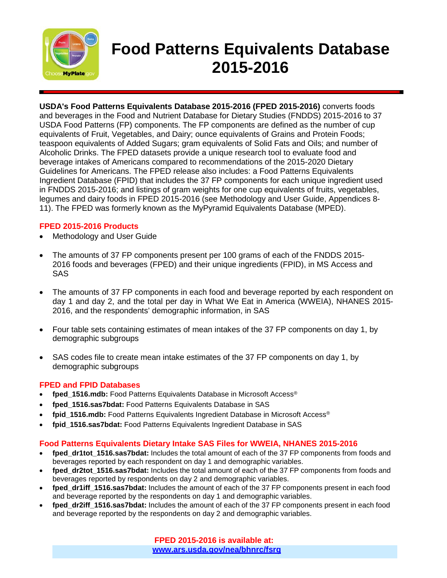

# **Food Patterns Equivalents Database 2015-2016**

**USDA's Food Patterns Equivalents Database 2015-2016 (FPED 2015-2016)** converts foods and beverages in the Food and Nutrient Database for Dietary Studies (FNDDS) 2015-2016 to 37 USDA Food Patterns (FP) components. The FP components are defined as the number of cup equivalents of Fruit, Vegetables, and Dairy; ounce equivalents of Grains and Protein Foods; teaspoon equivalents of Added Sugars; gram equivalents of Solid Fats and Oils; and number of Alcoholic Drinks. The FPED datasets provide a unique research tool to evaluate food and beverage intakes of Americans compared to recommendations of the 2015-2020 Dietary Guidelines for Americans. The FPED release also includes: a Food Patterns Equivalents Ingredient Database (FPID) that includes the 37 FP components for each unique ingredient used in FNDDS 2015-2016; and listings of gram weights for one cup equivalents of fruits, vegetables, legumes and dairy foods in FPED 2015-2016 (see Methodology and User Guide, Appendices 8- 11). The FPED was formerly known as the MyPyramid Equivalents Database (MPED).

### **FPED 2015-2016 Products**

- Methodology and User Guide
- The amounts of 37 FP components present per 100 grams of each of the FNDDS 2015- 2016 foods and beverages (FPED) and their unique ingredients (FPID), in MS Access and SAS
- The amounts of 37 FP components in each food and beverage reported by each respondent on day 1 and day 2, and the total per day in What We Eat in America (WWEIA), NHANES 2015- 2016, and the respondents' demographic information, in SAS
- Four table sets containing estimates of mean intakes of the 37 FP components on day 1, by demographic subgroups
- SAS codes file to create mean intake estimates of the 37 FP components on day 1, by demographic subgroups

### **FPED and FPID Databases**

- fped 1516.mdb: Food Patterns Equivalents Database in Microsoft Access<sup>®</sup>
- **fped\_1516.sas7bdat:** Food Patterns Equivalents Database in SAS
- **fpid\_1516.mdb:** Food Patterns Equivalents Ingredient Database in Microsoft Access®
- **fpid\_1516.sas7bdat:** Food Patterns Equivalents Ingredient Database in SAS

### **Food Patterns Equivalents Dietary Intake SAS Files for WWEIA, NHANES 2015-2016**

- fped dr1tot 1516.sas7bdat: Includes the total amount of each of the 37 FP components from foods and beverages reported by each respondent on day 1 and demographic variables.
- fped dr2tot 1516.sas7bdat: Includes the total amount of each of the 37 FP components from foods and beverages reported by respondents on day 2 and demographic variables.
- fped dr1iff 1516.sas7bdat: Includes the amount of each of the 37 FP components present in each food and beverage reported by the respondents on day 1 and demographic variables.
- fped dr2iff 1516.sas7bdat: Includes the amount of each of the 37 FP components present in each food and beverage reported by the respondents on day 2 and demographic variables.